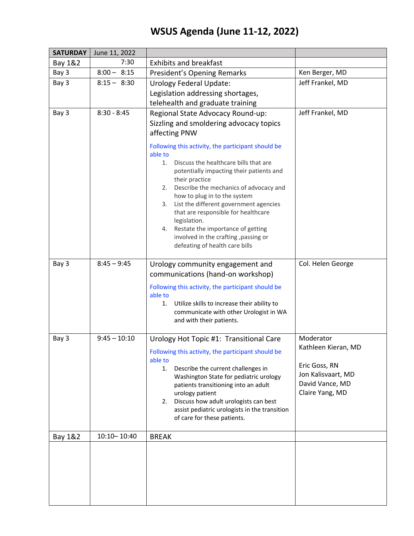## **WSUS Agenda (June 11-12, 2022)**

| <b>SATURDAY</b> | June 11, 2022   |                                                                                                                                                                                                                                                                                                                                                                                                                                                                                                                                                                                         |                                                                                                               |
|-----------------|-----------------|-----------------------------------------------------------------------------------------------------------------------------------------------------------------------------------------------------------------------------------------------------------------------------------------------------------------------------------------------------------------------------------------------------------------------------------------------------------------------------------------------------------------------------------------------------------------------------------------|---------------------------------------------------------------------------------------------------------------|
| Bay 1&2         | 7:30            | <b>Exhibits and breakfast</b>                                                                                                                                                                                                                                                                                                                                                                                                                                                                                                                                                           |                                                                                                               |
| Bay 3           | $8:00 - 8:15$   | President's Opening Remarks                                                                                                                                                                                                                                                                                                                                                                                                                                                                                                                                                             | Ken Berger, MD                                                                                                |
| Bay 3           | $8:15 - 8:30$   | <b>Urology Federal Update:</b><br>Legislation addressing shortages,<br>telehealth and graduate training                                                                                                                                                                                                                                                                                                                                                                                                                                                                                 | Jeff Frankel, MD                                                                                              |
| Bay 3           | $8:30 - 8:45$   | Regional State Advocacy Round-up:<br>Sizzling and smoldering advocacy topics<br>affecting PNW<br>Following this activity, the participant should be<br>able to<br>Discuss the healthcare bills that are<br>1.<br>potentially impacting their patients and<br>their practice<br>Describe the mechanics of advocacy and<br>2.<br>how to plug in to the system<br>List the different government agencies<br>3.<br>that are responsible for healthcare<br>legislation.<br>Restate the importance of getting<br>4.<br>involved in the crafting, passing or<br>defeating of health care bills | Jeff Frankel, MD                                                                                              |
| Bay 3           | $8:45 - 9:45$   | Urology community engagement and<br>communications (hand-on workshop)<br>Following this activity, the participant should be<br>able to<br>Utilize skills to increase their ability to<br>1.<br>communicate with other Urologist in WA<br>and with their patients.                                                                                                                                                                                                                                                                                                                       | Col. Helen George                                                                                             |
| Bay 3           | $9:45 - 10:10$  | Urology Hot Topic #1: Transitional Care<br>Following this activity, the participant should be<br>able to<br>Describe the current challenges in<br>1.<br>Washington State for pediatric urology<br>patients transitioning into an adult<br>urology patient<br>Discuss how adult urologists can best<br>2.<br>assist pediatric urologists in the transition<br>of care for these patients.                                                                                                                                                                                                | Moderator<br>Kathleen Kieran, MD<br>Eric Goss, RN<br>Jon Kalisvaart, MD<br>David Vance, MD<br>Claire Yang, MD |
| Bay 1&2         | $10:10 - 10:40$ | <b>BREAK</b>                                                                                                                                                                                                                                                                                                                                                                                                                                                                                                                                                                            |                                                                                                               |
|                 |                 |                                                                                                                                                                                                                                                                                                                                                                                                                                                                                                                                                                                         |                                                                                                               |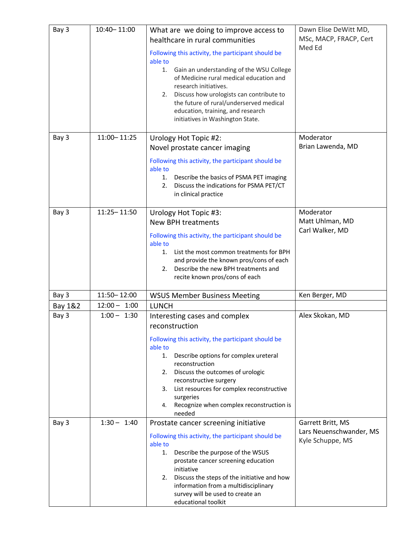| Bay 3   | 10:40-11:00    | What are we doing to improve access to<br>healthcare in rural communities<br>Following this activity, the participant should be<br>able to<br>Gain an understanding of the WSU College<br>1.<br>of Medicine rural medical education and<br>research initiatives.<br>Discuss how urologists can contribute to<br>2.<br>the future of rural/underserved medical<br>education, training, and research<br>initiatives in Washington State. | Dawn Elise DeWitt MD,<br>MSc, MACP, FRACP, Cert<br>Med Ed        |
|---------|----------------|----------------------------------------------------------------------------------------------------------------------------------------------------------------------------------------------------------------------------------------------------------------------------------------------------------------------------------------------------------------------------------------------------------------------------------------|------------------------------------------------------------------|
| Bay 3   | 11:00 - 11:25  | Urology Hot Topic #2:<br>Novel prostate cancer imaging<br>Following this activity, the participant should be<br>able to<br>Describe the basics of PSMA PET imaging<br>1.<br>Discuss the indications for PSMA PET/CT<br>2.<br>in clinical practice                                                                                                                                                                                      | Moderator<br>Brian Lawenda, MD                                   |
| Bay 3   | 11:25 - 11:50  | Urology Hot Topic #3:<br><b>New BPH treatments</b><br>Following this activity, the participant should be<br>able to<br>List the most common treatments for BPH<br>1.<br>and provide the known pros/cons of each<br>Describe the new BPH treatments and<br>2.<br>recite known pros/cons of each                                                                                                                                         | Moderator<br>Matt Uhlman, MD<br>Carl Walker, MD                  |
| Bay 3   | 11:50 - 12:00  | <b>WSUS Member Business Meeting</b>                                                                                                                                                                                                                                                                                                                                                                                                    | Ken Berger, MD                                                   |
| Bay 1&2 | $12:00 - 1:00$ | <b>LUNCH</b>                                                                                                                                                                                                                                                                                                                                                                                                                           |                                                                  |
| Bay 3   | $1:00 - 1:30$  | Interesting cases and complex<br>reconstruction<br>Following this activity, the participant should be<br>able to<br>Describe options for complex ureteral<br>1.<br>reconstruction<br>Discuss the outcomes of urologic<br>2.<br>reconstructive surgery<br>List resources for complex reconstructive<br>3.<br>surgeries<br>Recognize when complex reconstruction is<br>4.<br>needed                                                      | Alex Skokan, MD                                                  |
| Bay 3   | $1:30 - 1:40$  | Prostate cancer screening initiative<br>Following this activity, the participant should be<br>able to<br>Describe the purpose of the WSUS<br>1.<br>prostate cancer screening education<br>initiative<br>Discuss the steps of the initiative and how<br>2.<br>information from a multidisciplinary<br>survey will be used to create an<br>educational toolkit                                                                           | Garrett Britt, MS<br>Lars Neuenschwander, MS<br>Kyle Schuppe, MS |